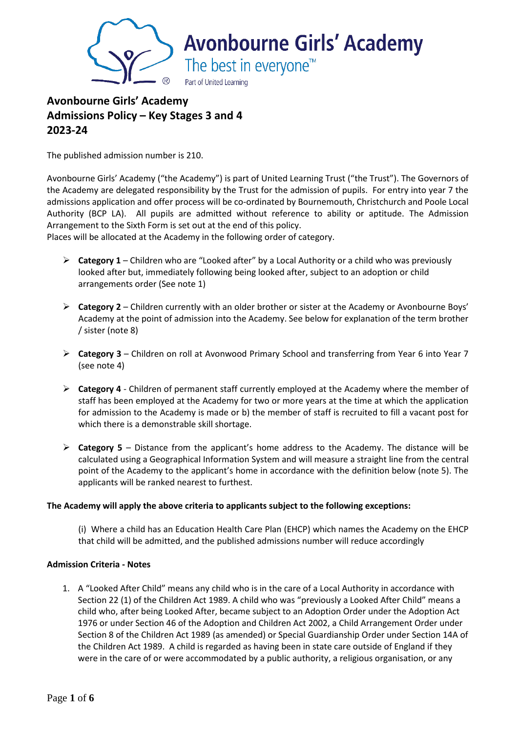

# **Avonbourne Girls' Academy Admissions Policy – Key Stages 3 and 4 2023-24**

The published admission number is 210.

Avonbourne Girls' Academy ("the Academy") is part of United Learning Trust ("the Trust"). The Governors of the Academy are delegated responsibility by the Trust for the admission of pupils. For entry into year 7 the admissions application and offer process will be co-ordinated by Bournemouth, Christchurch and Poole Local Authority (BCP LA). All pupils are admitted without reference to ability or aptitude. The Admission Arrangement to the Sixth Form is set out at the end of this policy.

Places will be allocated at the Academy in the following order of category.

- ➢ **Category 1** Children who are "Looked after" by a Local Authority or a child who was previously looked after but, immediately following being looked after, subject to an adoption or child arrangements order (See note 1)
- ➢ **Category 2** Children currently with an older brother or sister at the Academy or Avonbourne Boys' Academy at the point of admission into the Academy. See below for explanation of the term brother / sister (note 8)
- ➢ **Category 3** Children on roll at Avonwood Primary School and transferring from Year 6 into Year 7 (see note 4)
- ➢ **Category 4** Children of permanent staff currently employed at the Academy where the member of staff has been employed at the Academy for two or more years at the time at which the application for admission to the Academy is made or b) the member of staff is recruited to fill a vacant post for which there is a demonstrable skill shortage.
- ➢ **Category 5** Distance from the applicant's home address to the Academy. The distance will be calculated using a Geographical Information System and will measure a straight line from the central point of the Academy to the applicant's home in accordance with the definition below (note 5). The applicants will be ranked nearest to furthest.

#### **The Academy will apply the above criteria to applicants subject to the following exceptions:**

(i) Where a child has an Education Health Care Plan (EHCP) which names the Academy on the EHCP that child will be admitted, and the published admissions number will reduce accordingly

#### **Admission Criteria - Notes**

1. A "Looked After Child" means any child who is in the care of a Local Authority in accordance with Section 22 (1) of the Children Act 1989. A child who was "previously a Looked After Child" means a child who, after being Looked After, became subject to an Adoption Order under the Adoption Act 1976 or under Section 46 of the Adoption and Children Act 2002, a Child Arrangement Order under Section 8 of the Children Act 1989 (as amended) or Special Guardianship Order under Section 14A of the Children Act 1989. A child is regarded as having been in state care outside of England if they were in the care of or were accommodated by a public authority, a religious organisation, or any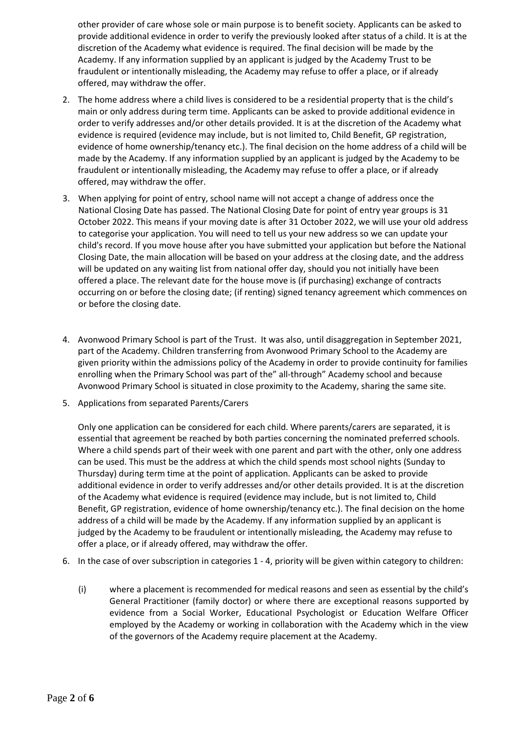other provider of care whose sole or main purpose is to benefit society. Applicants can be asked to provide additional evidence in order to verify the previously looked after status of a child. It is at the discretion of the Academy what evidence is required. The final decision will be made by the Academy. If any information supplied by an applicant is judged by the Academy Trust to be fraudulent or intentionally misleading, the Academy may refuse to offer a place, or if already offered, may withdraw the offer.

- 2. The home address where a child lives is considered to be a residential property that is the child's main or only address during term time. Applicants can be asked to provide additional evidence in order to verify addresses and/or other details provided. It is at the discretion of the Academy what evidence is required (evidence may include, but is not limited to, Child Benefit, GP registration, evidence of home ownership/tenancy etc.). The final decision on the home address of a child will be made by the Academy. If any information supplied by an applicant is judged by the Academy to be fraudulent or intentionally misleading, the Academy may refuse to offer a place, or if already offered, may withdraw the offer.
- 3. When applying for point of entry, school name will not accept a change of address once the National Closing Date has passed. The National Closing Date for point of entry year groups is 31 October 2022. This means if your moving date is after 31 October 2022, we will use your old address to categorise your application. You will need to tell us your new address so we can update your child's record. If you move house after you have submitted your application but before the National Closing Date, the main allocation will be based on your address at the closing date, and the address will be updated on any waiting list from national offer day, should you not initially have been offered a place. The relevant date for the house move is (if purchasing) exchange of contracts occurring on or before the closing date; (if renting) signed tenancy agreement which commences on or before the closing date.
- 4. Avonwood Primary School is part of the Trust. It was also, until disaggregation in September 2021, part of the Academy. Children transferring from Avonwood Primary School to the Academy are given priority within the admissions policy of the Academy in order to provide continuity for families enrolling when the Primary School was part of the" all-through" Academy school and because Avonwood Primary School is situated in close proximity to the Academy, sharing the same site.
- 5. Applications from separated Parents/Carers

Only one application can be considered for each child. Where parents/carers are separated, it is essential that agreement be reached by both parties concerning the nominated preferred schools. Where a child spends part of their week with one parent and part with the other, only one address can be used. This must be the address at which the child spends most school nights (Sunday to Thursday) during term time at the point of application. Applicants can be asked to provide additional evidence in order to verify addresses and/or other details provided. It is at the discretion of the Academy what evidence is required (evidence may include, but is not limited to, Child Benefit, GP registration, evidence of home ownership/tenancy etc.). The final decision on the home address of a child will be made by the Academy. If any information supplied by an applicant is judged by the Academy to be fraudulent or intentionally misleading, the Academy may refuse to offer a place, or if already offered, may withdraw the offer.

- 6. In the case of over subscription in categories 1 4, priority will be given within category to children:
	- (i) where a placement is recommended for medical reasons and seen as essential by the child's General Practitioner (family doctor) or where there are exceptional reasons supported by evidence from a Social Worker, Educational Psychologist or Education Welfare Officer employed by the Academy or working in collaboration with the Academy which in the view of the governors of the Academy require placement at the Academy.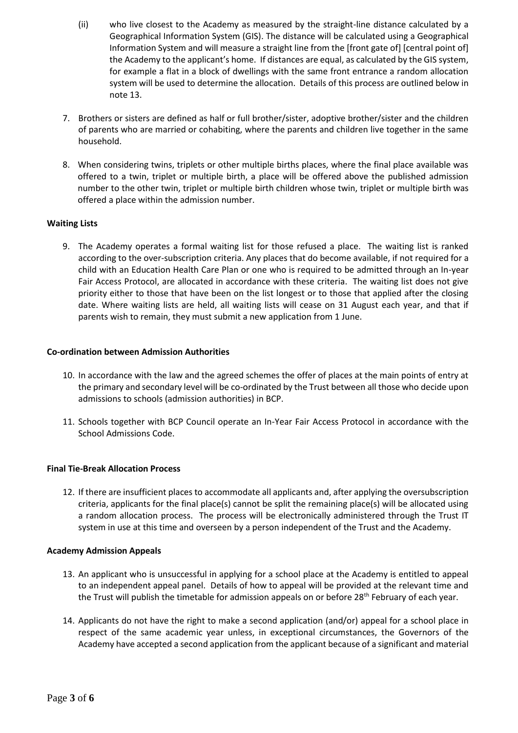- (ii) who live closest to the Academy as measured by the straight-line distance calculated by a Geographical Information System (GIS). The distance will be calculated using a Geographical Information System and will measure a straight line from the [front gate of] [central point of] the Academy to the applicant's home. If distances are equal, as calculated by the GIS system, for example a flat in a block of dwellings with the same front entrance a random allocation system will be used to determine the allocation. Details of this process are outlined below in note 13.
- 7. Brothers or sisters are defined as half or full brother/sister, adoptive brother/sister and the children of parents who are married or cohabiting, where the parents and children live together in the same household.
- 8. When considering twins, triplets or other multiple births places, where the final place available was offered to a twin, triplet or multiple birth, a place will be offered above the published admission number to the other twin, triplet or multiple birth children whose twin, triplet or multiple birth was offered a place within the admission number.

# **Waiting Lists**

9. The Academy operates a formal waiting list for those refused a place. The waiting list is ranked according to the over-subscription criteria. Any places that do become available, if not required for a child with an Education Health Care Plan or one who is required to be admitted through an In-year Fair Access Protocol, are allocated in accordance with these criteria. The waiting list does not give priority either to those that have been on the list longest or to those that applied after the closing date. Where waiting lists are held, all waiting lists will cease on 31 August each year, and that if parents wish to remain, they must submit a new application from 1 June.

#### **Co-ordination between Admission Authorities**

- 10. In accordance with the law and the agreed schemes the offer of places at the main points of entry at the primary and secondary level will be co-ordinated by the Trust between all those who decide upon admissions to schools (admission authorities) in BCP.
- 11. Schools together with BCP Council operate an In-Year Fair Access Protocol in accordance with the School Admissions Code.

# **Final Tie-Break Allocation Process**

12. If there are insufficient places to accommodate all applicants and, after applying the oversubscription criteria, applicants for the final place(s) cannot be split the remaining place(s) will be allocated using a random allocation process. The process will be electronically administered through the Trust IT system in use at this time and overseen by a person independent of the Trust and the Academy.

#### **Academy Admission Appeals**

- 13. An applicant who is unsuccessful in applying for a school place at the Academy is entitled to appeal to an independent appeal panel. Details of how to appeal will be provided at the relevant time and the Trust will publish the timetable for admission appeals on or before  $28<sup>th</sup>$  February of each year.
- 14. Applicants do not have the right to make a second application (and/or) appeal for a school place in respect of the same academic year unless, in exceptional circumstances, the Governors of the Academy have accepted a second application from the applicant because of a significant and material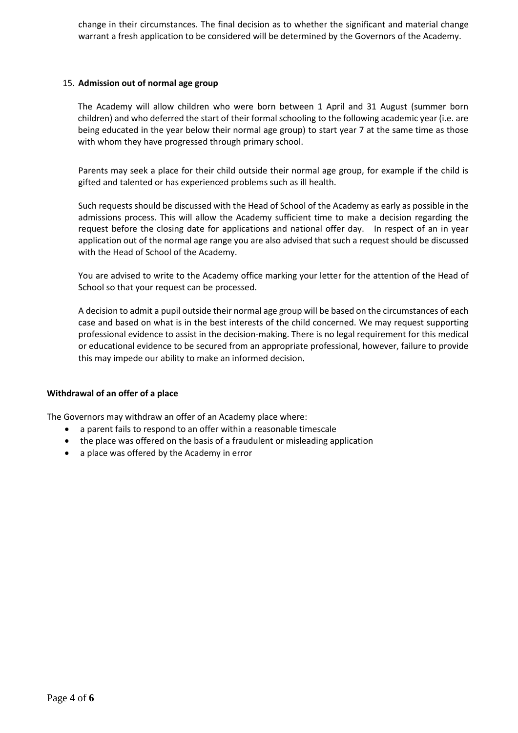change in their circumstances. The final decision as to whether the significant and material change warrant a fresh application to be considered will be determined by the Governors of the Academy.

#### 15. **Admission out of normal age group**

The Academy will allow children who were born between 1 April and 31 August (summer born children) and who deferred the start of their formal schooling to the following academic year (i.e. are being educated in the year below their normal age group) to start year 7 at the same time as those with whom they have progressed through primary school.

Parents may seek a place for their child outside their normal age group, for example if the child is gifted and talented or has experienced problems such as ill health.

Such requests should be discussed with the Head of School of the Academy as early as possible in the admissions process. This will allow the Academy sufficient time to make a decision regarding the request before the closing date for applications and national offer day. In respect of an in year application out of the normal age range you are also advised that such a request should be discussed with the Head of School of the Academy.

You are advised to write to the Academy office marking your letter for the attention of the Head of School so that your request can be processed.

A decision to admit a pupil outside their normal age group will be based on the circumstances of each case and based on what is in the best interests of the child concerned. We may request supporting professional evidence to assist in the decision-making. There is no legal requirement for this medical or educational evidence to be secured from an appropriate professional, however, failure to provide this may impede our ability to make an informed decision.

#### **Withdrawal of an offer of a place**

The Governors may withdraw an offer of an Academy place where:

- a parent fails to respond to an offer within a reasonable timescale
- the place was offered on the basis of a fraudulent or misleading application
- a place was offered by the Academy in error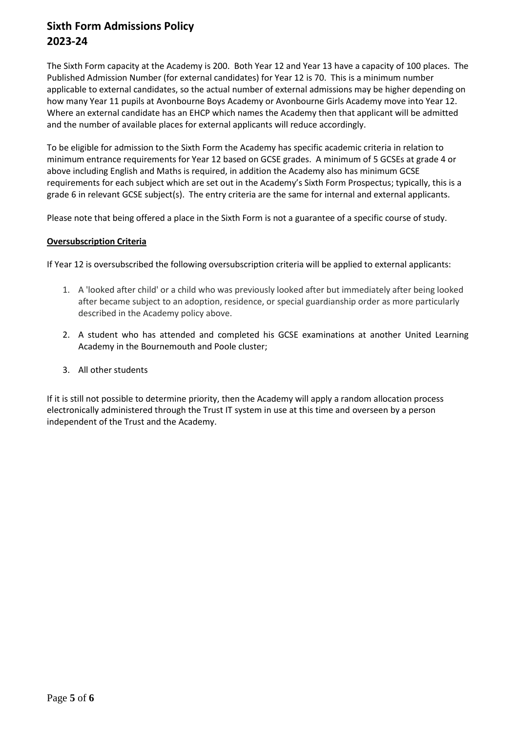# **Sixth Form Admissions Policy 2023-24**

The Sixth Form capacity at the Academy is 200. Both Year 12 and Year 13 have a capacity of 100 places. The Published Admission Number (for external candidates) for Year 12 is 70. This is a minimum number applicable to external candidates, so the actual number of external admissions may be higher depending on how many Year 11 pupils at Avonbourne Boys Academy or Avonbourne Girls Academy move into Year 12. Where an external candidate has an EHCP which names the Academy then that applicant will be admitted and the number of available places for external applicants will reduce accordingly.

To be eligible for admission to the Sixth Form the Academy has specific academic criteria in relation to minimum entrance requirements for Year 12 based on GCSE grades. A minimum of 5 GCSEs at grade 4 or above including English and Maths is required, in addition the Academy also has minimum GCSE requirements for each subject which are set out in the Academy's Sixth Form Prospectus; typically, this is a grade 6 in relevant GCSE subject(s). The entry criteria are the same for internal and external applicants.

Please note that being offered a place in the Sixth Form is not a guarantee of a specific course of study.

# **Oversubscription Criteria**

If Year 12 is oversubscribed the following oversubscription criteria will be applied to external applicants:

- 1. A 'looked after child' or a child who was previously looked after but immediately after being looked after became subject to an adoption, residence, or special guardianship order as more particularly described in the Academy policy above.
- 2. A student who has attended and completed his GCSE examinations at another United Learning Academy in the Bournemouth and Poole cluster;
- 3. All other students

If it is still not possible to determine priority, then the Academy will apply a random allocation process electronically administered through the Trust IT system in use at this time and overseen by a person independent of the Trust and the Academy.